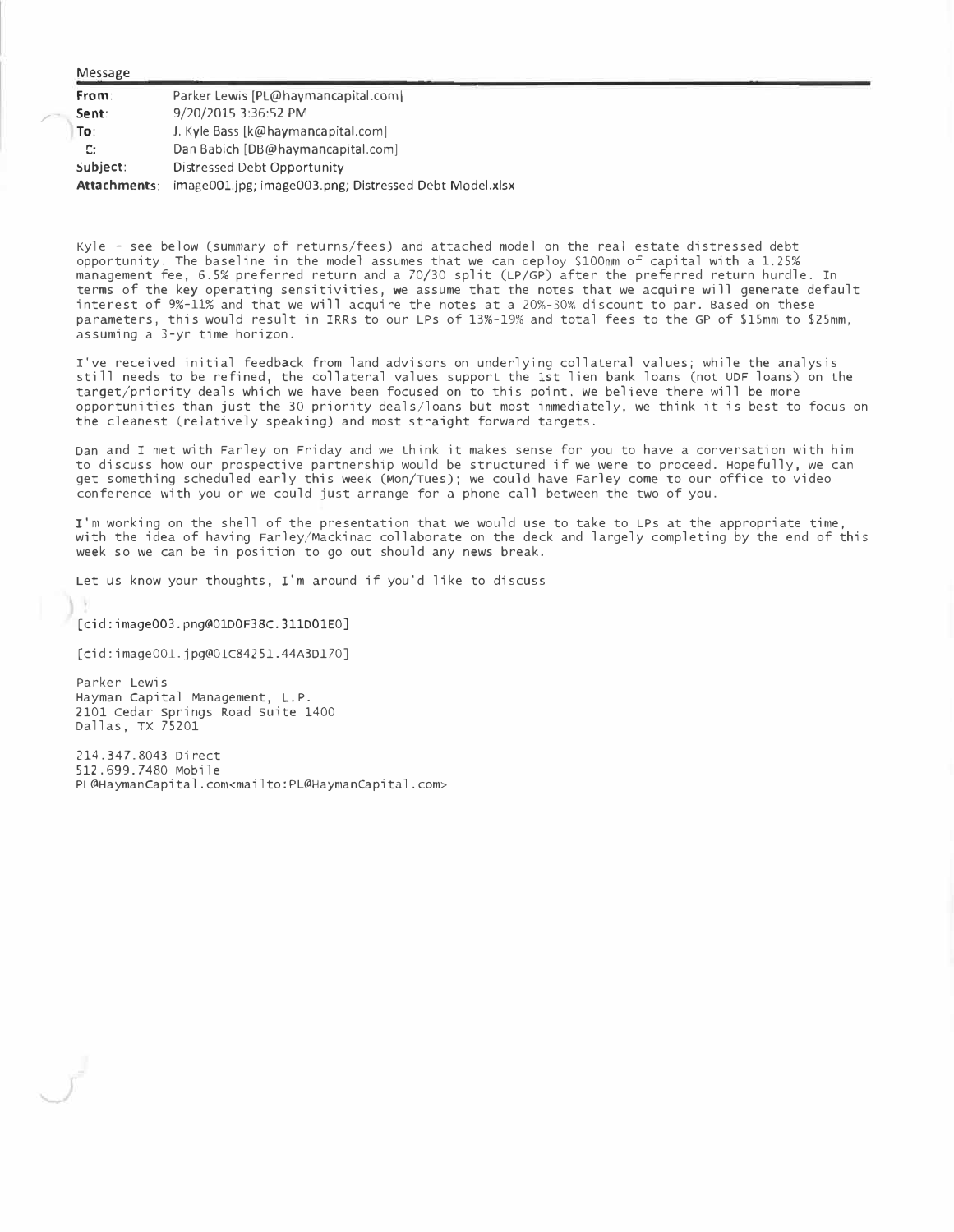## Message

/

| From:               | Parker Lewis [PL@haymancapital.com]                    |
|---------------------|--------------------------------------------------------|
| Sent:               | 9/20/2015 3:36:52 PM                                   |
| To:                 | J. Kyle Bass [k@haymancapital.com]                     |
| Ċ.                  | Dan Babich [DB@haymancapital.com]                      |
| subject:            | Distressed Debt Opportunity                            |
| <b>Attachments:</b> | image001.jpg; image003.png; Distressed Debt Model.xlsx |

Kyle - see below (summary of returns/fees) and attached model on the real estate distressed debt opportunity. The baseline in the model assumes that we can deploy \$100mm of capital with a 1. 25% management fee, 6. 5% preferred return and a 70/30 split (LP/GP) after the preferred return hurdle. In terms of the key operating sensitivities, we assume that the notes that we acquire will generate default interest of 9%-11% and that we will acquire the notes at a 20%-30% discount to par. Based on these parameters, this would result in IRRs to our LPs of 13%-19% and total fees to the GP of \$1Smm to \$25mm, assuming a 3-yr time horizon.

I've received initial feedback from land advisors on underlying collateral values; while the analysis still needs to be refined, the collateral values support the 1st lien bank loans (not UDF loans) on the target/priority deals which we have been focused on to this point. We believe there will be more opportunities than just the 30 priority deals/loans but most immediately, we think it is best to focus on the cleanest (relatively speaking) and most straight forward targets.

Dan and I met with Farley on Friday and we think it makes sense for you to have a conversation with him to discuss how our prospective partnership would be structured if we were to proceed. Hopefully, we can get something scheduled early this week (Mon/Tues); we could have Farley come to our office to video conference with you or we could just arrange for a phone call between the two of you.

I'm working on the shell of the presentation that we would use to take to LPs at the appropriate time, with the idea of having Farley/Mackinac collaborate on the deck and largely completing by the end of this week so we can be in position to go out should any news break.

Let us know your thoughts, I'm around if you'd like to discuss

[cid:image003.png@01D0F38C.311D01E0]

[cid:image001.jpg@01C84251.44A3D170]

Parker Lewis Hayman Capital Management, L.P. 2101 cedar Springs Road suite 1400 Dallas, TX 75201

214.347.8043 Direct 512.699.7480 Mobile PL@Haymancapital.com<mailto:PL@HaymanCapital .com>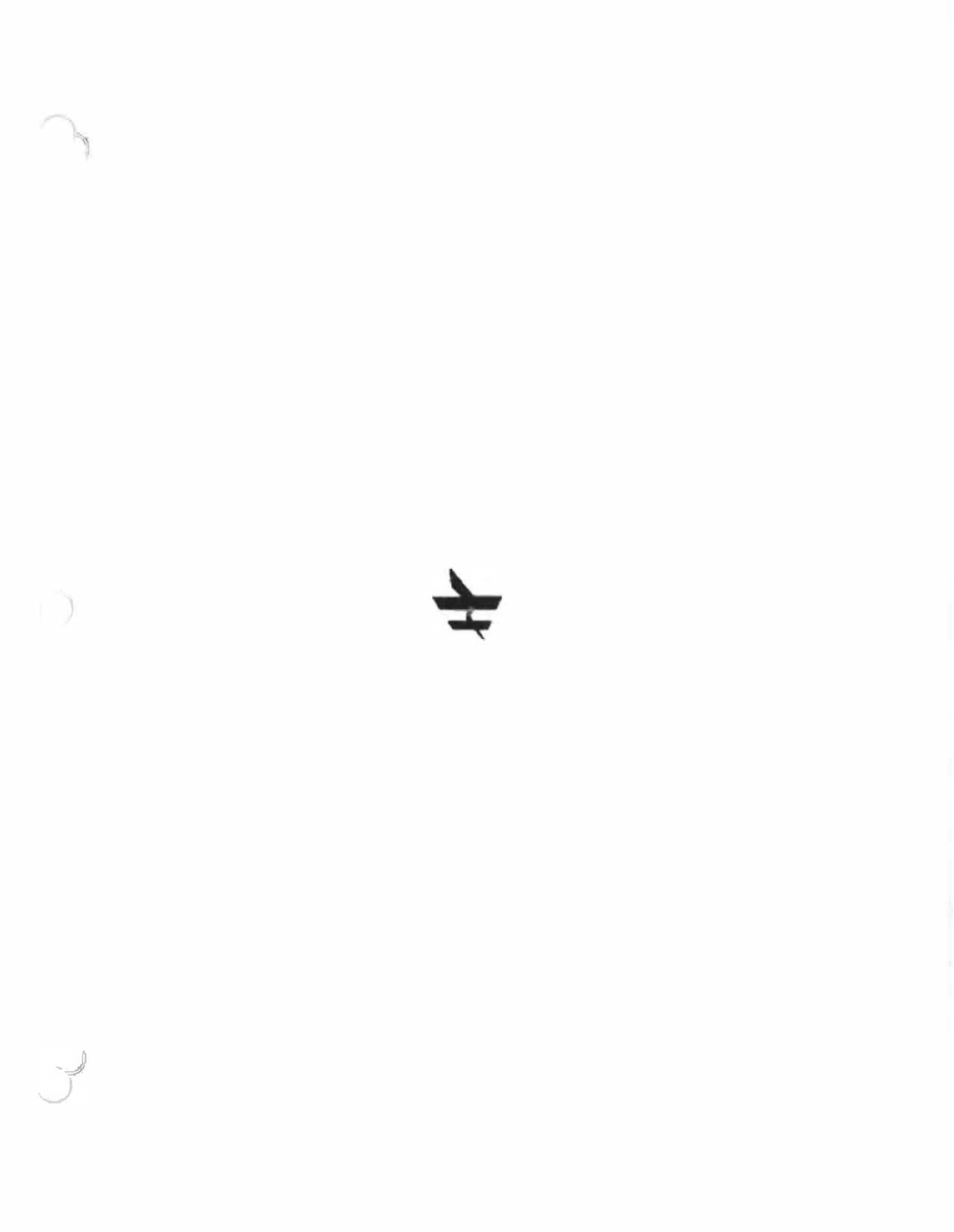$\neq$ 

 $\rightarrow$ 

 $\rightarrow$ 

 $\mathcal{I}$